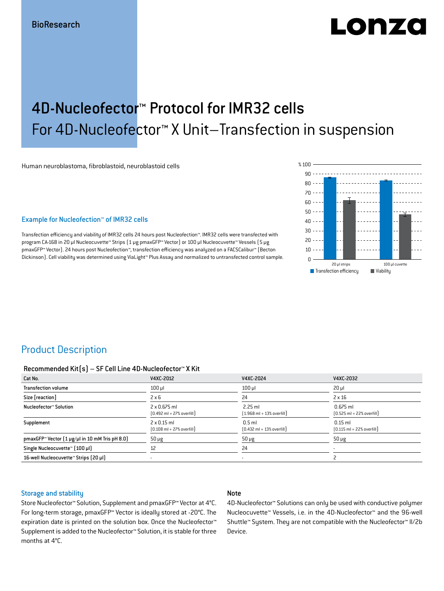# Lonzo

## 4D-Nucleofector™ Protocol for IMR32 cells For 4D-Nucleofector™ X Unit–Transfection in suspension

Human neuroblastoma, fibroblastoid, neuroblastoid cells

#### Example for Nucleofection™ of IMR32 cells

Transfection efficiency and viability of IMR32 cells 24 hours post Nucleofection™. IMR32 cells were transfected with program CA-168 in 20 μl Nucleocuvette™ Strips (1 μg pmaxGFP™ Vector) or 100 μl Nucleocuvette™ Vessels (5 μg pmaxGFP™ Vector). 24 hours post Nucleofection™, transfection efficiency was analyzed on a FACSCalibur™ (Becton Dickinson). Cell viability was determined using ViaLight™ Plus Assay and normalized to untransfected control sample.



### Product Description

#### Recommended Kit(s) – SF Cell Line 4D-Nucleofector™ X Kit

| Cat No.                                                           | V4XC-2012                                                           | V4XC-2024                                                 | V4XC-2032                                                  |
|-------------------------------------------------------------------|---------------------------------------------------------------------|-----------------------------------------------------------|------------------------------------------------------------|
| <b>Transfection volume</b>                                        | $100$ $\mu$                                                         | $100$ $\mu$                                               | $20 \mu$                                                   |
| Size [reaction]                                                   | $2 \times 6$                                                        | 24                                                        | $2 \times 16$                                              |
| Nucleofector™ Solution                                            | $2 \times 0.675$ ml<br>$[0.492 \text{ ml} + 27\% \text{ overfill}]$ | $2.25$ ml<br>$[1.968 \text{ ml} + 13\% \text{ overfill}]$ | $0.675$ ml<br>$[0.525 \text{ ml} + 22\% \text{ overfill}]$ |
| Supplement                                                        | $2 \times 0.15$ ml<br>$[0.108 \text{ ml} + 27\% \text{ overfill}]$  | $0.5$ ml<br>$[0.432 \text{ ml} + 13\% \text{ overfill}]$  | $0.15$ ml<br>$[0.115 \text{ ml} + 22\% \text{ overfill}]$  |
| pmaxGFP <sup>*</sup> Vector $[1 \mu g/\mu]$ in 10 mM Tris pH 8.0) | $50 \mu g$                                                          | $50 \mu g$                                                | $50 \mu g$                                                 |
| Single Nucleocuvette™ [100 µl]                                    | 12                                                                  | 24                                                        | $\blacksquare$                                             |
| 16-well Nucleocuvette™ Strips [20 µl]                             |                                                                     | $\overline{\phantom{a}}$                                  |                                                            |

#### Storage and stability

#### Note

Store Nucleofector™ Solution, Supplement and pmaxGFP™ Vector at 4°C. For long-term storage, pmaxGFP™ Vector is ideally stored at -20°C. The expiration date is printed on the solution box. Once the Nucleofector™ Supplement is added to the Nucleofector™ Solution, it is stable for three months at 4°C.

4D-Nucleofector™ Solutions can only be used with conductive polymer Nucleocuvette™ Vessels, i.e. in the 4D-Nucleofector™ and the 96-well Shuttle™ System. They are not compatible with the Nucleofector™ II/2b Device.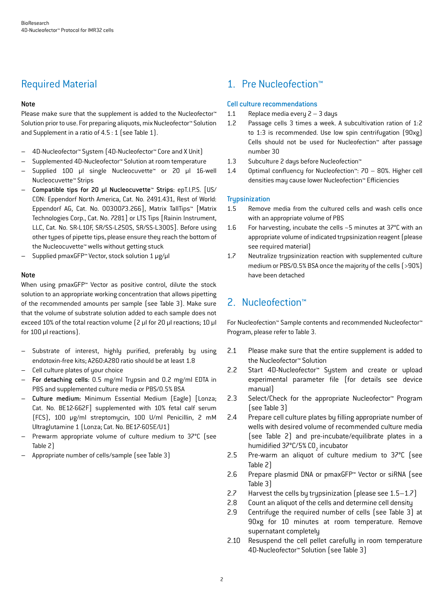## Required Material

#### Note

Please make sure that the supplement is added to the Nucleofector<sup>™</sup> Solution prior to use. For preparing aliquots, mix Nucleofector™ Solution and Supplement in a ratio of 4.5 : 1 (see Table 1).

- 4D-Nucleofector™ System (4D-Nucleofector™ Core and X Unit)
- Supplemented 4D-Nucleofector™ Solution at room temperature
- Supplied 100 µl single Nucleocuvette™ or 20 µl 16-well Nucleocuvette™ Strips
- Compatible tips for 20 µl Nucleocuvette™ Strips: epT.I.P.S. [US/ CDN: Eppendorf North America, Cat. No. 2491.431, Rest of World: Eppendorf AG, Cat. No. 0030073.266], Matrix TallTips™ [Matrix Technologies Corp., Cat. No. 7281] or LTS Tips [Rainin Instrument, LLC, Cat. No. SR-L10F, SR/SS-L250S, SR/SS-L300S]. Before using other types of pipette tips, please ensure they reach the bottom of the Nucleocuvette™ wells without getting stuck
- Supplied pmaxGFP™ Vector, stock solution 1 μg/μl

#### Note

When using pmaxGFP™ Vector as positive control, dilute the stock solution to an appropriate working concentration that allows pipetting of the recommended amounts per sample (see Table 3). Make sure that the volume of substrate solution added to each sample does not exceed 10% of the total reaction volume (2 μl for 20 μl reactions; 10 μl for 100 μl reactions).

- Substrate of interest, highly purified, preferably by using endotoxin-free kits; A260:A280 ratio should be at least 1.8
- Cell culture plates of your choice
- For detaching cells: 0.5 mg/ml Trypsin and 0.2 mg/ml EDTA in PBS and supplemented culture media or PBS/0.5% BSA
- Culture medium: Minimum Essential Medium (Eagle) [Lonza; Cat. No. BE12-662F] supplemented with 10% fetal calf serum (FCS), 100 μg/ml streptomycin, 100 U/ml Penicillin, 2 mM Ultraglutamine 1 (Lonza; Cat. No. BE17-605E/U1)
- Prewarm appropriate volume of culture medium to 37°C (see Table 2)
- Appropriate number of cells/sample (see Table 3)

## 1. Pre Nucleofection™

#### Cell culture recommendations

- 1.1 Replace media every 2 3 days
- 1.2 Passage cells 3 times a week. A subcultivation ration of 1:2 to 1:3 is recommended. Use low spin centrifugation (90xg) Cells should not be used for Nucleofection™ after passage number 30
- 1.3 Subculture 2 days before Nucleofection™
- 1.4 Optimal confluency for Nucleofection™: 70 80%. Higher cell densities may cause lower Nucleofection™ Efficiencies

#### **Trupsinization**

- 1.5 Remove media from the cultured cells and wash cells once with an appropriate volume of PBS
- 1.6 For harvesting, incubate the cells ~5 minutes at 37°C with an appropriate volume of indicated trypsinization reagent (please see required material)
- 1.7 Neutralize trypsinization reaction with supplemented culture medium or PBS/0.5% BSA once the majority of the cells (>90%) have been detached

## 2. Nucleofection™

For Nucleofection™ Sample contents and recommended Nucleofector™ Program, please refer to Table 3.

- 2.1 Please make sure that the entire supplement is added to the Nucleofector™ Solution
- 2.2 Start 4D-Nucleofector™ System and create or upload experimental parameter file (for details see device manual)
- 2.3 Select/Check for the appropriate Nucleofector™ Program (see Table 3)
- 2.4 Prepare cell culture plates by filling appropriate number of wells with desired volume of recommended culture media (see Table 2) and pre-incubate/equilibrate plates in a humidified 37°C/5% CO<sub>2</sub> incubator
- 2.5 Pre-warm an aliquot of culture medium to 37°C (see Table 2)
- 2.6 Prepare plasmid DNA or pmaxGFP™ Vector or siRNA (see Table 3)
- 2.7 Harvest the cells by trypsinization (please see 1.5–1.7)
- 2.8 Count an aliquot of the cells and determine cell density
- 2.9 Centrifuge the required number of cells (see Table 3) at 90xg for 10 minutes at room temperature. Remove supernatant completely
- 2.10 Resuspend the cell pellet carefully in room temperature 4D-Nucleofector™ Solution (see Table 3)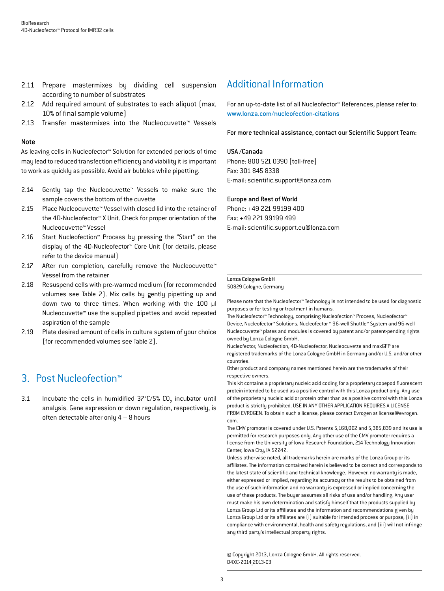- 2.11 Prepare mastermixes by dividing cell suspension according to number of substrates
- 2.12 Add required amount of substrates to each aliquot (max. 10% of final sample volume)
- 2.13 Transfer mastermixes into the Nucleocuvette™ Vessels

#### Note

As leaving cells in Nucleofector™ Solution for extended periods of time may lead to reduced transfection efficiency and viability it is important to work as quickly as possible. Avoid air bubbles while pipetting.

- 2.14 Gently tap the Nucleocuvette™ Vessels to make sure the sample covers the bottom of the cuvette
- 2.15 Place Nucleocuvette™ Vessel with closed lid into the retainer of the 4D-Nucleofector™ X Unit. Check for proper orientation of the Nucleocuvette™ Vessel
- 2.16 Start Nucleofection™ Process by pressing the "Start" on the display of the 4D-Nucleofector™ Core Unit (for details, please refer to the device manual)
- 2.17 After run completion, carefully remove the Nucleocuvette™ Vessel from the retainer
- 2.18 Resuspend cells with pre-warmed medium (for recommended volumes see Table 2). Mix cells by gently pipetting up and down two to three times. When working with the 100 µl Nucleocuvette™ use the supplied pipettes and avoid repeated aspiration of the sample
- 2.19 Plate desired amount of cells in culture system of your choice (for recommended volumes see Table 2).

## 3. Post Nucleofection™

3.1 Incubate the cells in humidified  $37^{\circ}$ C/5% CO<sub>2</sub> incubator until analysis. Gene expression or down regulation, respectively, is often detectable after only 4 – 8 hours

## Additional Information

For an up-to-date list of all Nucleofector™ References, please refer to: www.lonza.com/nucleofection-citations

For more technical assistance, contact our Scientific Support Team:

#### USA /Canada

Phone: 800 521 0390 (toll-free) Fax: 301 845 8338 E-mail: scientific.support@lonza.com

#### Europe and Rest of World

Phone: +49 221 99199 400 Fax: +49 221 99199 499 E-mail: scientific.support.eu@lonza.com

#### Lonza Cologne GmbH

50829 Cologne, Germany

Please note that the Nucleofector™ Technology is not intended to be used for diagnostic purposes or for testing or treatment in humans.

The Nucleofector™ Technology, comprising Nucleofection™ Process, Nucleofector™ Device, Nucleofector™ Solutions, Nucleofector ™ 96-well Shuttle™ System and 96-well Nucleocuvette™ plates and modules is covered by patent and/or patent-pending rights owned by Lonza Cologne GmbH.

Nucleofector, Nucleofection, 4D-Nucleofector, Nucleocuvette and maxGFP are registered trademarks of the Lonza Cologne GmbH in Germany and/or U.S. and/or other countries.

Other product and company names mentioned herein are the trademarks of their respective owners.

This kit contains a proprietary nucleic acid coding for a proprietary copepod fluorescent protein intended to be used as a positive control with this Lonza product only. Any use of the proprietary nucleic acid or protein other than as a positive control with this Lonza product is strictly prohibited. USE IN ANY OTHER APPLICATION REQUIRES A LICENSE FROM EVROGEN. To obtain such a license, please contact Evrogen at license@evrogen. com.

The CMV promoter is covered under U.S. Patents 5,168,062 and 5,385,839 and its use is permitted for research purposes only. Any other use of the CMV promoter requires a license from the University of Iowa Research Foundation, 214 Technology Innovation Center, Iowa City, IA 52242.

Unless otherwise noted, all trademarks herein are marks of the Lonza Group or its affiliates. The information contained herein is believed to be correct and corresponds to the latest state of scientific and technical knowledge. However, no warranty is made, either expressed or implied, regarding its accuracy or the results to be obtained from the use of such information and no warranty is expressed or implied concerning the use of these products. The buyer assumes all risks of use and/or handling. Any user must make his own determination and satisfy himself that the products supplied by Lonza Group Ltd or its affiliates and the information and recommendations given by Lonza Group Ltd or its affiliates are (i) suitable for intended process or purpose, (ii) in compliance with environmental, health and safety regulations, and (iii) will not infringe any third party's intellectual property rights.

© Copyright 2013, Lonza Cologne GmbH. All rights reserved. D4XC-2014\_2013-03